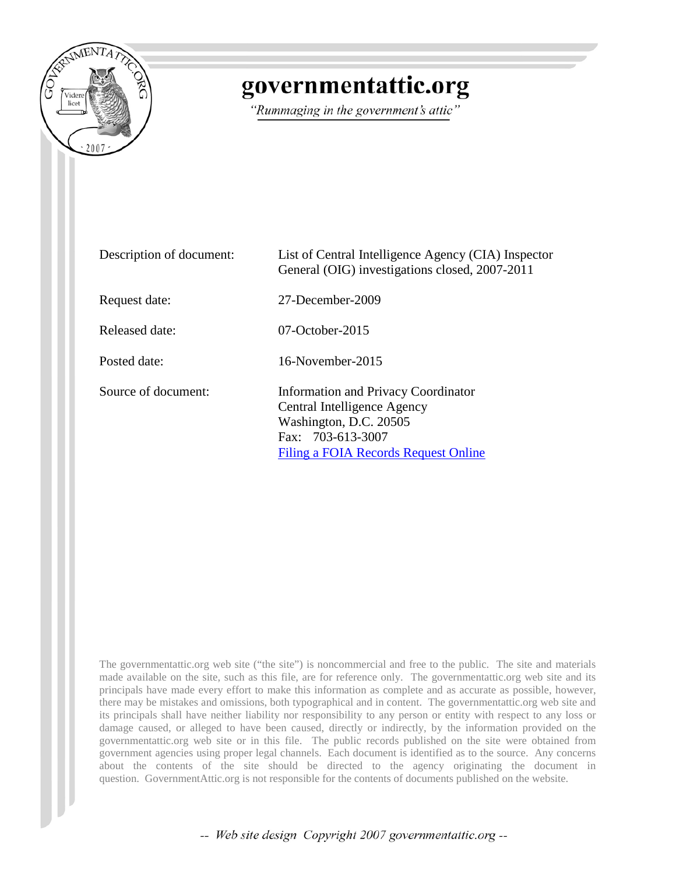

# governmentattic.org

"Rummaging in the government's attic"

| Description of document: | List of Central Intelligence Agency (CIA) Inspector<br>General (OIG) investigations closed, 2007-2011                                                     |
|--------------------------|-----------------------------------------------------------------------------------------------------------------------------------------------------------|
| Request date:            | 27-December-2009                                                                                                                                          |
| Released date:           | $07$ -October-2015                                                                                                                                        |
| Posted date:             | $16$ -November-2015                                                                                                                                       |
| Source of document:      | Information and Privacy Coordinator<br>Central Intelligence Agency<br>Washington, D.C. 20505<br>Fax: 703-613-3007<br>Filing a FOIA Records Request Online |

The governmentattic.org web site ("the site") is noncommercial and free to the public. The site and materials made available on the site, such as this file, are for reference only. The governmentattic.org web site and its principals have made every effort to make this information as complete and as accurate as possible, however, there may be mistakes and omissions, both typographical and in content. The governmentattic.org web site and its principals shall have neither liability nor responsibility to any person or entity with respect to any loss or damage caused, or alleged to have been caused, directly or indirectly, by the information provided on the governmentattic.org web site or in this file. The public records published on the site were obtained from government agencies using proper legal channels. Each document is identified as to the source. Any concerns about the contents of the site should be directed to the agency originating the document in question. GovernmentAttic.org is not responsible for the contents of documents published on the website.

-- Web site design Copyright 2007 governmentattic.org --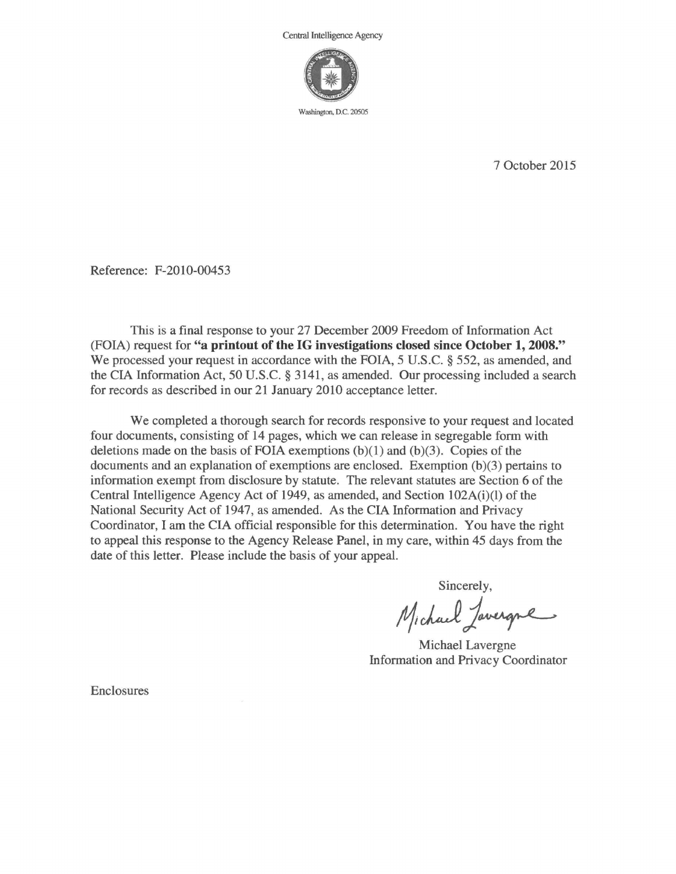

7 October 2015

Reference: F-2010-00453

This is a final response to your 27 December 2009 Freedom of Information Act (FOIA) request for **"a printout of the IG investigations closed since October 1, 2008."**  We processed your request in accordance with the FOIA, 5 U.S.C. § 552, as amended, and the CIA Information Act, 50 U.S.C. § 3141, as amended. Our processing included a search for records as described in our 21 January 2010 acceptance letter.

We completed a thorough search for records responsive to your request and located four documents, consisting of 14 pages, which we can release in segregable form with deletions made on the basis of FOIA exemptions  $(b)(1)$  and  $(b)(3)$ . Copies of the documents and an explanation of exemptions are enclosed. Exemption (b)(3) pertains to information exempt from disclosure by statute. The relevant statutes are Section 6 of the Central Intelligence Agency Act of 1949, as amended, and Section 102A(i)(l) of the National Security Act of 1947, as amended. As the CIA Information and Privacy Coordinator, I am the CIA official responsible for this determination. You have the right to appeal this response to the Agency Release Panel, in my care, within 45 days from the date of this letter. Please include the basis of your appeal.

Sincerely,

Michael Javergne

Michael Lavergne Information and Privacy Coordinator

Enclosures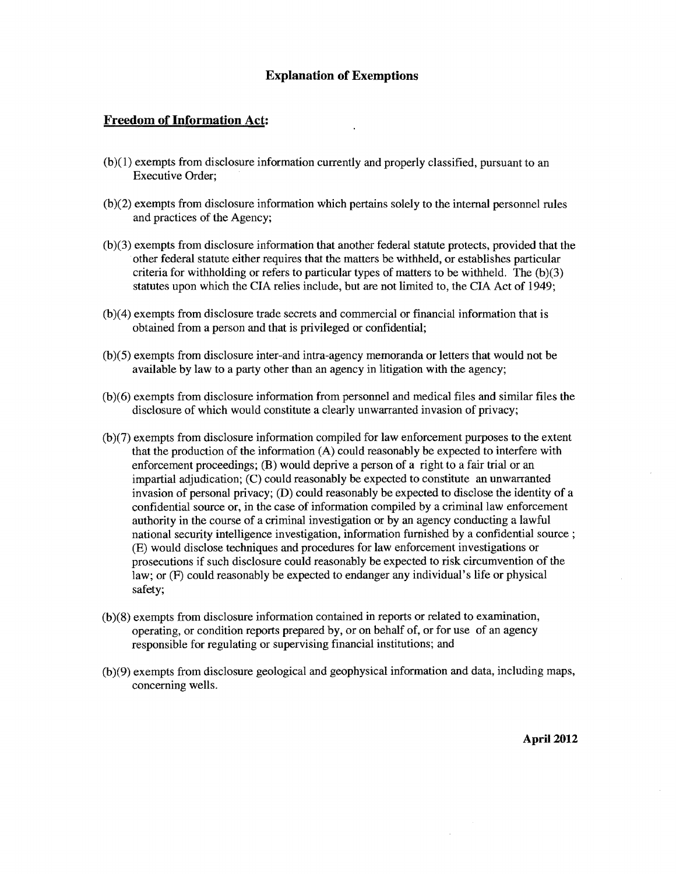#### **Explanation of Exemptions**

#### **Freedom of Information** Act:

- (b )( 1) exempts from disclosure information currently and properly classified, pursuant to an Executive Order;
- $(b)(2)$  exempts from disclosure information which pertains solely to the internal personnel rules and practices of the Agency;
- (b )(3) exempts from disclosure information that another federal statute protects, provided that the ·other federal statute either requires that the matters be withheld, or establishes particular criteria for withholding or refers to particular types of matters to be withheld. The  $(b)(3)$ statutes upon which the CIA relies include, but are not limited to, the CIA Act of 1949;
- (b)(4) exempts from disclosure trade secrets and commercial or financial information that is obtained from a person and that is privileged or confidential;
- (b)(5) exempts from disclosure inter-and intra-agency memoranda or letters that would not be available by law to a party other than an agency in litigation with the agency;
- (b )( 6) exempts from disclosure information from personnel and medical files and similar files the disclosure of which would constitute a clearly unwarranted invasion of privacy;
- (b )(7) exempts from disclosure information compiled for law enforcement purposes to the extent that the production of the information (A) could reasonably be expected to interfere with enforcement proceedings; (B) would deprive a person of a right to a fair trial or an impartial adjudication; (C) could reasonably be expected to constitute an unwarranted invasion of personal privacy; (D) could reasonably be expected to disclose the identity of a confidential source or, in the case of information compiled by a criminal law enforcement authority in the course of a criminal investigation or by an agency conducting a lawful national security intelligence investigation, information furnished by a confidential source ; (E) would disclose techniques and procedures for law enforcement investigations or prosecutions if such disclosure could reasonably be expected to risk circumvention of the law; or (F) could reasonably be expected to endanger any individual's life or physical safety;
- (b )(8) exempts from disclosure information contained in reports or related to examination, operating, or condition reports prepared by, or on behalf of, or for use of an agency responsible for regulating or supervising financial institutions; and
- (b)(9) exempts from disclosure geological and geophysical information and data, including maps, concerning wells.

**April 2012**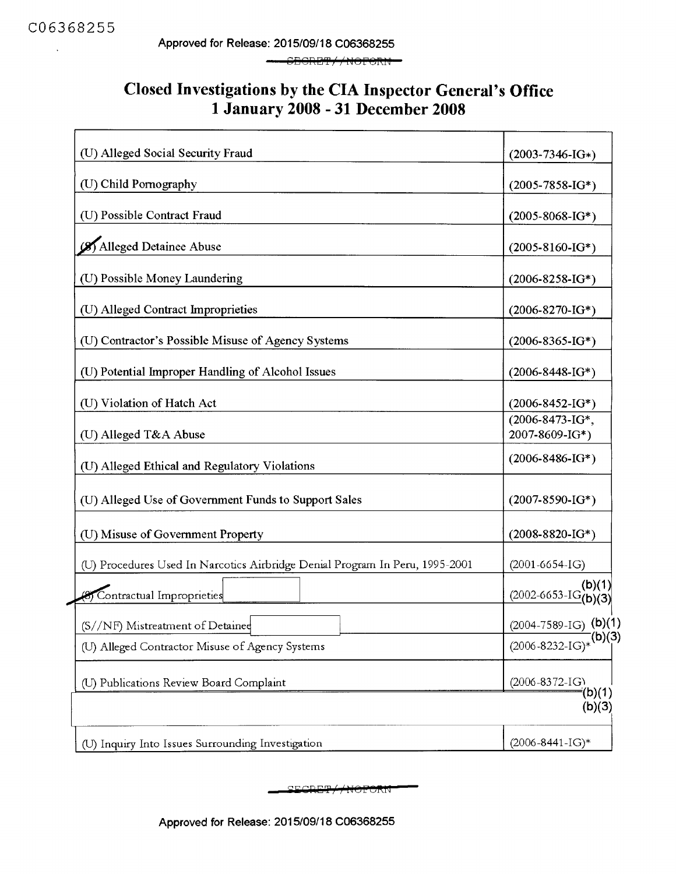#### Closed Investigations by the CIA Inspector General's Office 1 January 2008 - 31 December 2008

| (U) Alleged Social Security Fraud                                            |                                           |
|------------------------------------------------------------------------------|-------------------------------------------|
|                                                                              | $(2003 - 7346 - 1G*)$                     |
| (U) Child Pornography                                                        | $(2005 - 7858 - 1G^*)$                    |
| (U) Possible Contract Fraud                                                  | $(2005 - 8068 - 1G^*)$                    |
| Alleged Detainee Abuse                                                       | $(2005 - 8160 - 1G^*)$                    |
| (U) Possible Money Laundering                                                | $(2006 - 8258 - 1G^*)$                    |
| (U) Alleged Contract Improprieties                                           | $(2006 - 8270 - 1G^*)$                    |
| (U) Contractor's Possible Misuse of Agency Systems                           | $(2006 - 8365 - 1G^*)$                    |
| (U) Potential Improper Handling of Alcohol Issues                            | $(2006 - 8448 - 1G^*)$                    |
| (U) Violation of Hatch Act                                                   | $(2006 - 8452 - 1G^*)$                    |
| (U) Alleged T&A Abuse                                                        | (2006-8473-IG*,<br>2007-8609-IG*)         |
| (U) Alleged Ethical and Regulatory Violations                                | $(2006 - 8486 - 1G^*)$                    |
| (U) Alleged Use of Government Funds to Support Sales                         | $(2007 - 8590 - 1G^*)$                    |
| (U) Misuse of Government Property                                            | $(2008 - 8820 - 1G^*)$                    |
| (U) Procedures Used In Narcotics Airbridge Denial Program In Peru, 1995-2001 | $(2001 - 6654 - IG)$                      |
| Contractual Improprieties                                                    | $\frac{(2002 - 6653 - 1G(b)(1))}{(b)(3)}$ |
| (S//NF) Mistreatment of Detained                                             | $(2004 - 7589 - IG)$ (b)(1)               |
| (U) Alleged Contractor Misuse of Agency Systems                              | (b)(3)<br>$(2006 - 8232 - IG)*$           |
| (U) Publications Review Board Complaint                                      | $(2006 - 8372 - I)$<br>(b)(1)             |
|                                                                              | (b)(3)                                    |
| (U) Inquiry Into Issues Surrounding Investigation                            | $(2006 - 8441 - IG)*$                     |

SECRET / NOFORN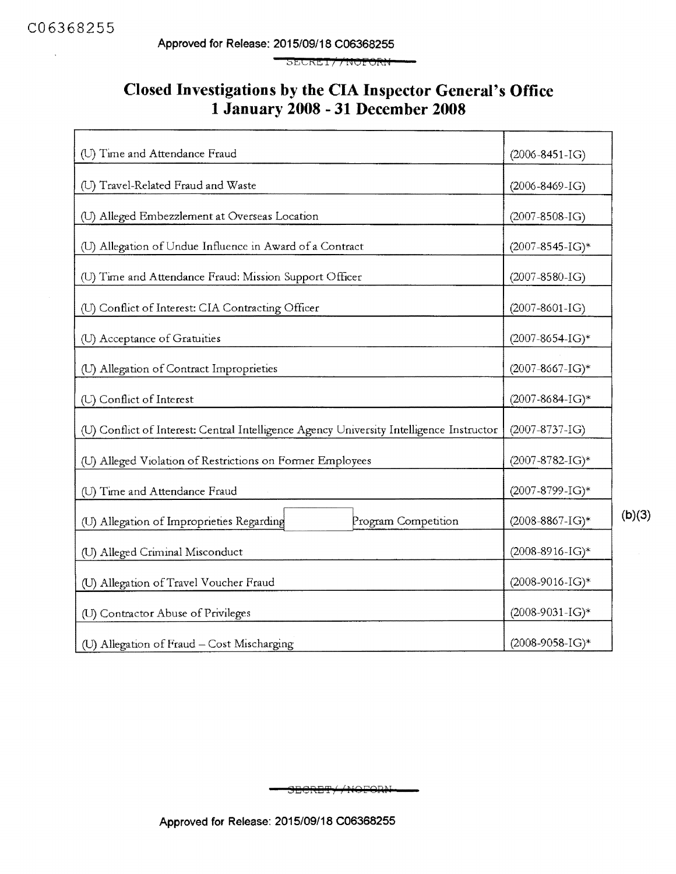$\bar{\mathbf{r}}$ 

**Approved for Release: 2015/09/18 C06368255** 

SECKET // NOFORN

#### **Closed Investigations by the CIA Inspector General's Office 1January2008 -31December2008**

| (U) Time and Attendance Fraud                                                            | $(2006 - 8451 - IG)$ |                        |
|------------------------------------------------------------------------------------------|----------------------|------------------------|
| (U) Travel-Related Fraud and Waste                                                       |                      | $(2006 - 8469 - IG)$   |
| (U) Alleged Embezzlement at Overseas Location                                            |                      | $(2007 - 8508 - I)$    |
| (U) Allegation of Undue Influence in Award of a Contract                                 |                      | $(2007 - 8545 - I)$ *  |
| (U) Time and Attendance Fraud: Mission Support Officer                                   |                      | $(2007 - 8580 - IG)$   |
| (U) Conflict of Interest: CIA Contracting Officer                                        |                      | $(2007 - 8601 - IG)$   |
| (U) Acceptance of Gratuities                                                             |                      | $(2007 - 8654 - IG)^*$ |
| (U) Allegation of Contract Improprieties                                                 |                      | $(2007 - 8667 - IG)*$  |
| (U) Conflict of Interest                                                                 |                      | (2007-8684-IG)*        |
| (U) Conflict of Interest: Central Intelligence Agency University Intelligence Instructor |                      | $(2007 - 8737 - IG)$   |
| (U) Alleged Violation of Restrictions on Former Employees                                |                      | $(2007 - 8782 - I)$ *  |
| (U) Time and Attendance Fraud                                                            |                      | (2007-8799-IG)*        |
| (U) Allegation of Improprieties Regarding                                                | Program Competition  | $(2008-8867-IG)*$      |
| (U) Alleged Criminal Misconduct                                                          |                      | $(2008-8916-IG)*$      |
| (U) Allegation of Travel Voucher Fraud                                                   |                      | $(2008-9016-IG)*$      |
| (U) Contractor Abuse of Privileges                                                       |                      | $(2008-9031-IG)*$      |
| (U) Allegation of Fraud - Cost Mischarging                                               |                      | $(2008-9058-IG)*$      |

SECRET//NOFORM

**Approved for Release: 2015/09/18 C06368255** 

**(b)(3)**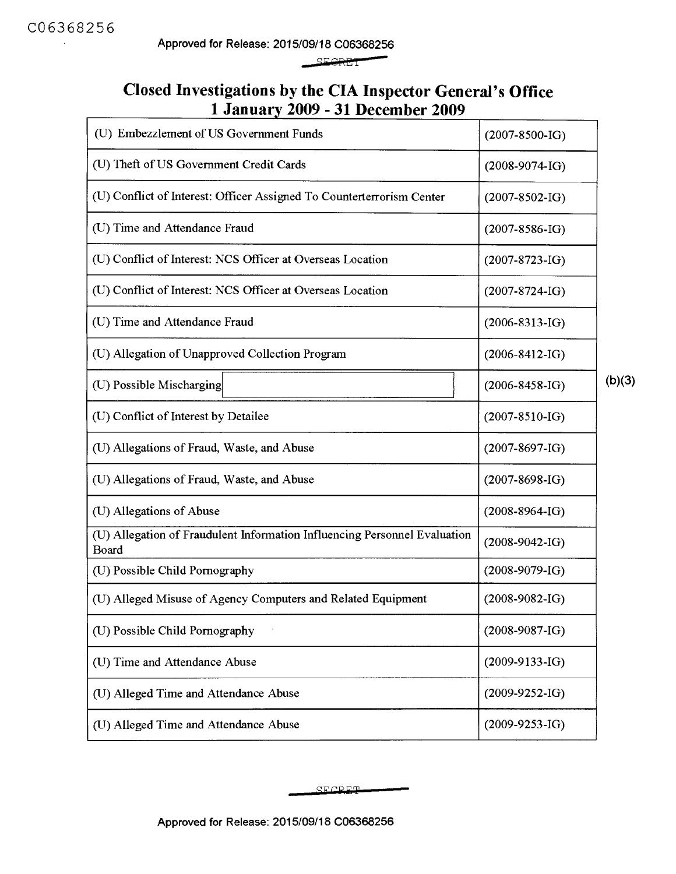Approved for Release: 2015/09/18 C06368256 -

**SEGRET** 

#### **Closed Investigations by the CIA Inspector General's Office 1 January 2009 - 31 December 2009**

| (U) Embezzlement of US Government Funds                                            | $(2007 - 8500 - IG)$ |        |
|------------------------------------------------------------------------------------|----------------------|--------|
| (U) Theft of US Government Credit Cards                                            | $(2008-9074-I)$      |        |
| (U) Conflict of Interest: Officer Assigned To Counterterrorism Center              | $(2007 - 8502 - IG)$ |        |
| (U) Time and Attendance Fraud                                                      | $(2007 - 8586 - IG)$ |        |
| (U) Conflict of Interest: NCS Officer at Overseas Location                         | $(2007 - 8723 - IG)$ |        |
| (U) Conflict of Interest: NCS Officer at Overseas Location                         | $(2007 - 8724 - IG)$ |        |
| (U) Time and Attendance Fraud                                                      | $(2006 - 8313 - IG)$ |        |
| (U) Allegation of Unapproved Collection Program                                    | $(2006-8412-IG)$     |        |
| (U) Possible Mischarging                                                           | $(2006 - 8458 - 1G)$ | (b)(3) |
| (U) Conflict of Interest by Detailee                                               | $(2007 - 8510 - IG)$ |        |
| (U) Allegations of Fraud, Waste, and Abuse                                         | $(2007 - 8697 - IG)$ |        |
| (U) Allegations of Fraud, Waste, and Abuse                                         | $(2007 - 8698 - IG)$ |        |
| (U) Allegations of Abuse                                                           | $(2008 - 8964 - IG)$ |        |
| (U) Allegation of Fraudulent Information Influencing Personnel Evaluation<br>Board | $(2008-9042-IG)$     |        |
| (U) Possible Child Pornography                                                     | $(2008-9079-IG)$     |        |
| (U) Alleged Misuse of Agency Computers and Related Equipment                       | $(2008-9082-IG)$     |        |
| (U) Possible Child Pornography                                                     | $(2008-9087-IG)$     |        |
| (U) Time and Attendance Abuse                                                      | $(2009-9133-IG)$     |        |
| (U) Alleged Time and Attendance Abuse                                              | $(2009-9252-IG)$     |        |
| (U) Alleged Time and Attendance Abuse                                              | $(2009-9253-IG)$     |        |

SF CRET-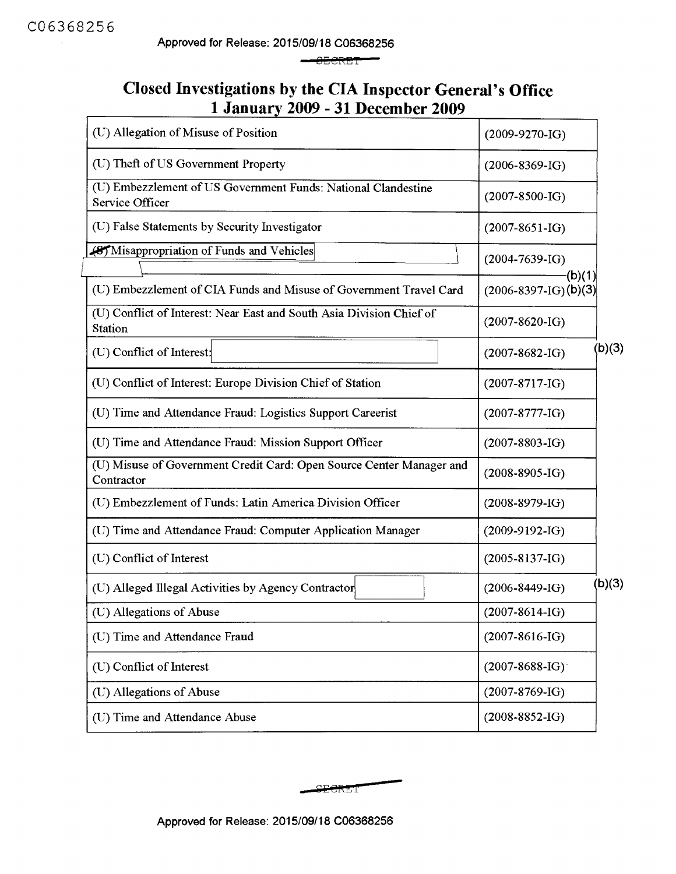**Approved for Release: 2015/09/18 C06368256** 

 $-$ SBCRET

### **Closed Investigations by the CIA Inspector General's Office 1 January 2009 - 31 December 2009**

| (U) Allegation of Misuse of Position                                               | $(2009-9270-IG)$                        |        |
|------------------------------------------------------------------------------------|-----------------------------------------|--------|
| (U) Theft of US Government Property                                                | $(2006 - 8369 - IG)$                    |        |
| (U) Embezzlement of US Government Funds: National Clandestine<br>Service Officer   | $(2007 - 8500 - IG)$                    |        |
| (U) False Statements by Security Investigator                                      | $(2007 - 8651 - IG)$                    |        |
| (8) Misappropriation of Funds and Vehicles                                         | $(2004 - 7639 - 1G)$                    |        |
| (U) Embezzlement of CIA Funds and Misuse of Government Travel Card                 | $-(b)(1)$<br>$(2006 - 8397 - I)$ (b)(3) |        |
| (U) Conflict of Interest: Near East and South Asia Division Chief of<br>Station    | $(2007 - 8620 - IG)$                    |        |
| (U) Conflict of Interest:                                                          | $(2007 - 8682 - IG)$                    | (b)(3) |
| (U) Conflict of Interest: Europe Division Chief of Station                         | $(2007 - 8717 - I)$                     |        |
| (U) Time and Attendance Fraud: Logistics Support Careerist                         | $(2007 - 8777 - I)$                     |        |
| (U) Time and Attendance Fraud: Mission Support Officer                             | $(2007 - 8803 - IG)$                    |        |
| (U) Misuse of Government Credit Card: Open Source Center Manager and<br>Contractor | $(2008-8905-IG)$                        |        |
| (U) Embezzlement of Funds: Latin America Division Officer                          | $(2008-8979-IG)$                        |        |
| (U) Time and Attendance Fraud: Computer Application Manager                        | $(2009-9192-IG)$                        |        |
| (U) Conflict of Interest                                                           | $(2005 - 8137 - I)$                     |        |
| (U) Alleged Illegal Activities by Agency Contractor                                | $(2006 - 8449 - I)$                     | (b)(3) |
| (U) Allegations of Abuse                                                           | $(2007 - 8614 - IG)$                    |        |
| (U) Time and Attendance Fraud                                                      | $(2007 - 8616 - IG)$                    |        |
| (U) Conflict of Interest                                                           | $(2007 - 8688 - IG)$                    |        |
| (U) Allegations of Abuse                                                           | $(2007 - 8769 - I)$                     |        |
| (U) Time and Attendance Abuse                                                      | $(2008 - 8852 - IG)$                    |        |

**PECRET** 

-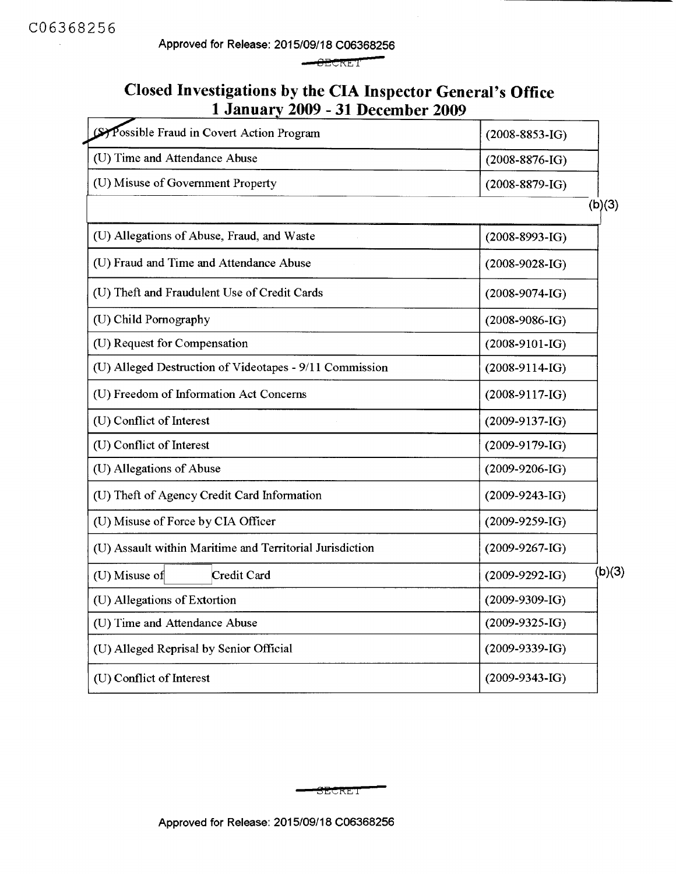Approved for Release: 2015/09/18 C06368256

**BECRET** 

### **Closed Investigations by the CIA Inspector General's Office 1January2009 - 31December2009**

| Sy Possible Fraud in Covert Action Program               | $(2008 - 8853 - IG)$ |        |
|----------------------------------------------------------|----------------------|--------|
| (U) Time and Attendance Abuse                            | $(2008 - 8876 - IG)$ |        |
| (U) Misuse of Government Property                        | $(2008 - 8879 - IG)$ |        |
|                                                          |                      | (b)(3) |
| (U) Allegations of Abuse, Fraud, and Waste               | $(2008 - 8993 - IG)$ |        |
| (U) Fraud and Time and Attendance Abuse                  | $(2008-9028-IG)$     |        |
| (U) Theft and Fraudulent Use of Credit Cards             | $(2008-9074-I)$      |        |
| (U) Child Pornography                                    | $(2008-9086-IG)$     |        |
| (U) Request for Compensation                             | $(2008-9101-IG)$     |        |
| (U) Alleged Destruction of Videotapes - 9/11 Commission  | $(2008-9114-IG)$     |        |
| (U) Freedom of Information Act Concerns                  | $(2008-9117-IG)$     |        |
| (U) Conflict of Interest                                 | $(2009-9137-IG)$     |        |
| (U) Conflict of Interest                                 | $(2009-9179-IG)$     |        |
| (U) Allegations of Abuse                                 | $(2009-9206-IG)$     |        |
| (U) Theft of Agency Credit Card Information              | $(2009-9243-IG)$     |        |
| (U) Misuse of Force by CIA Officer                       | $(2009-9259-IG)$     |        |
| (U) Assault within Maritime and Territorial Jurisdiction | $(2009-9267-IG)$     |        |
| (U) Misuse of<br>Credit Card                             | $(2009-9292-IG)$     | (b)(3) |
| (U) Allegations of Extortion                             | $(2009-9309-IG)$     |        |
| (U) Time and Attendance Abuse                            | $(2009-9325-IG)$     |        |
| (U) Alleged Reprisal by Senior Official                  | $(2009-9339-IG)$     |        |
| (U) Conflict of Interest                                 | $(2009-9343-IG)$     |        |
|                                                          |                      |        |

 ${\tt SECRET}$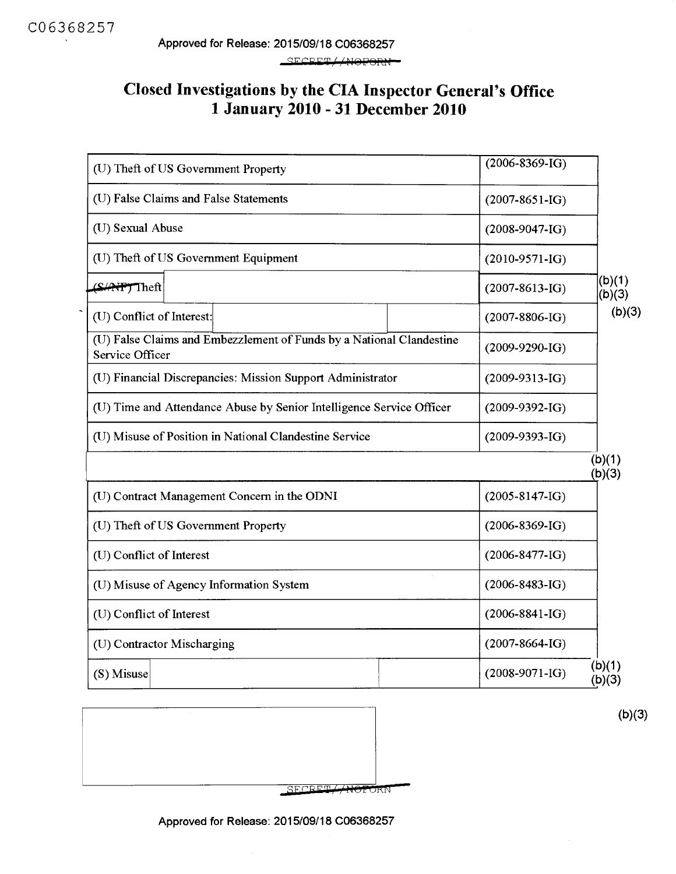### **Closed Investigations by the CIA Inspector General's Office 1 January 2010 - 31 December 2010**

| (U) Theft of US Government Property                                                     | $(2006 - 8369 - IG)$ |                  |
|-----------------------------------------------------------------------------------------|----------------------|------------------|
| (U) False Claims and False Statements                                                   | $(2007 - 8651 - IG)$ |                  |
| (U) Sexual Abuse                                                                        | $(2008-9047-IG)$     |                  |
| (U) Theft of US Government Equipment                                                    | $(2010-9571-IG)$     |                  |
| (S/AFF)Theft                                                                            | $(2007 - 8613 - IG)$ | (b)(1)<br>(b)(3) |
| (U) Conflict of Interest:                                                               | $(2007 - 8806 - IG)$ | (b)(3)           |
| (U) False Claims and Embezzlement of Funds by a National Clandestine<br>Service Officer | $(2009-9290-IG)$     |                  |
| (U) Financial Discrepancies: Mission Support Administrator                              | $(2009-9313-IG)$     |                  |
| (U) Time and Attendance Abuse by Senior Intelligence Service Officer                    | $(2009-9392-IG)$     |                  |
| (U) Misuse of Position in National Clandestine Service                                  | $(2009 - 9393 - IG)$ |                  |
|                                                                                         |                      | (b)(1)<br>(b)(3) |
| (U) Contract Management Concern in the ODNI                                             | $(2005 - 8147 - IG)$ |                  |
| (U) Theft of US Government Property                                                     | $(2006 - 8369 - IG)$ |                  |
| (U) Conflict of Interest                                                                | $(2006 - 8477 - 1G)$ |                  |
| (U) Misuse of Agency Information System                                                 | $(2006 - 8483 - IG)$ |                  |
| (U) Conflict of Interest                                                                | $(2006 - 8841 - IG)$ |                  |
| (U) Contractor Mischarging                                                              | $(2007 - 8664 - IG)$ |                  |
| (S) Misuse                                                                              | $(2008-9071-IG)$     | (b)(1)<br>(b)(3) |



(b)(3)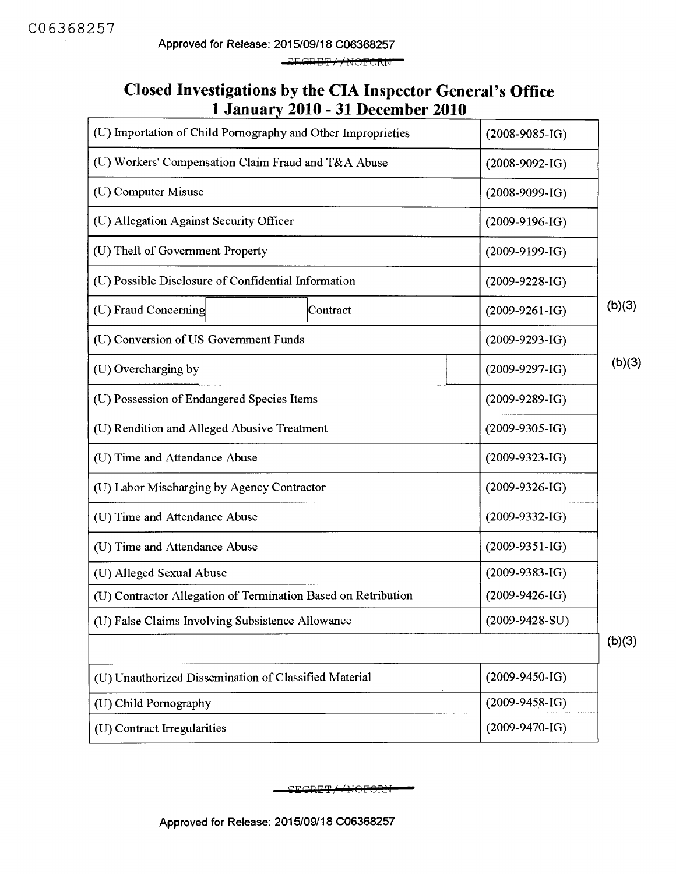SEGRET//NOFORN

#### **Closed Investigations by the CIA Inspector General's Office 1 January 2010 - 31 December 2010**

| (U) Importation of Child Pornography and Other Improprieties  | $(2008-9085-IG)$ |        |
|---------------------------------------------------------------|------------------|--------|
| (U) Workers' Compensation Claim Fraud and T&A Abuse           | $(2008-9092-IG)$ |        |
| (U) Computer Misuse                                           | $(2008-9099-IG)$ |        |
| (U) Allegation Against Security Officer                       | $(2009-9196-IG)$ |        |
| (U) Theft of Government Property                              | $(2009-9199-IG)$ |        |
| (U) Possible Disclosure of Confidential Information           | $(2009-9228-IG)$ |        |
| (U) Fraud Concerning<br>Contract                              | $(2009-9261-IG)$ | (b)(3) |
| (U) Conversion of US Government Funds                         | $(2009-9293-IG)$ |        |
| (U) Overcharging by                                           | $(2009-9297-IG)$ | (b)(3) |
| (U) Possession of Endangered Species Items                    | $(2009-9289-IG)$ |        |
| (U) Rendition and Alleged Abusive Treatment                   | $(2009-9305-IG)$ |        |
| (U) Time and Attendance Abuse                                 | $(2009-9323-IG)$ |        |
| (U) Labor Mischarging by Agency Contractor                    | $(2009-9326-IG)$ |        |
| (U) Time and Attendance Abuse                                 | $(2009-9332-IG)$ |        |
| (U) Time and Attendance Abuse                                 | $(2009-9351-IG)$ |        |
| (U) Alleged Sexual Abuse                                      | $(2009-9383-IG)$ |        |
| (U) Contractor Allegation of Termination Based on Retribution | $(2009-9426-IG)$ |        |
| (U) False Claims Involving Subsistence Allowance              | $(2009-9428-SU)$ |        |
|                                                               |                  | (b)(3) |
| (U) Unauthorized Dissemination of Classified Material         | $(2009-9450-IG)$ |        |
| (U) Child Pornography                                         | $(2009-9458-IG)$ |        |
| (U) Contract Irregularities                                   | $(2009-9470-I)$  |        |

CRET//NOFORN

Approved for Release: 2015/09/18 C06368257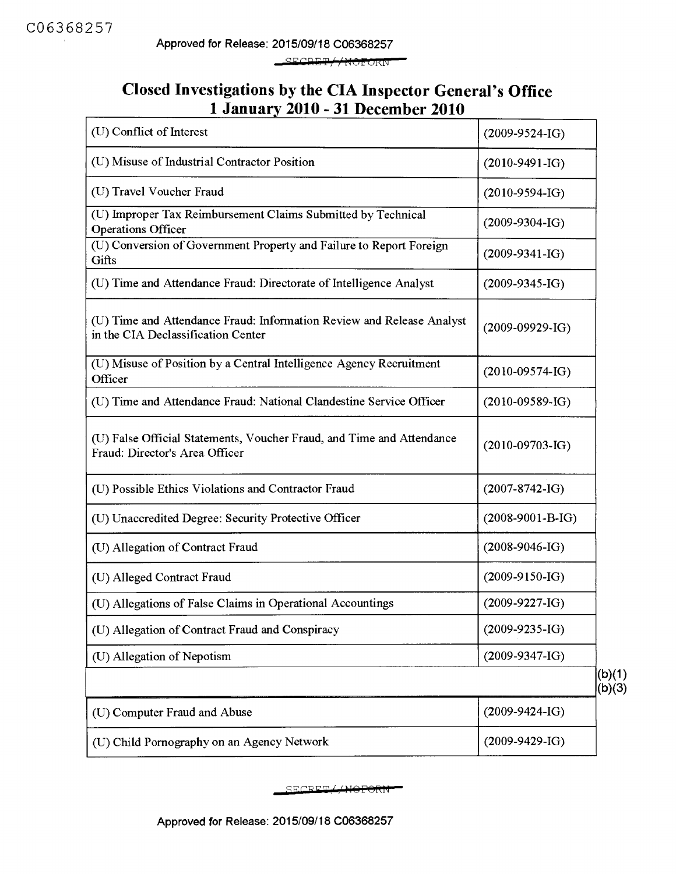\_SECRET//NOFORN

#### **Closed Investigations by the CIA Inspector General's Office 1 January 2010 - 31 December 2010**

| (U) Conflict of Interest                                                                                    | $(2009-9524-IG)$      |                  |
|-------------------------------------------------------------------------------------------------------------|-----------------------|------------------|
| (U) Misuse of Industrial Contractor Position                                                                | $(2010-9491-IG)$      |                  |
| (U) Travel Voucher Fraud                                                                                    | $(2010-9594-IG)$      |                  |
| (U) Improper Tax Reimbursement Claims Submitted by Technical<br><b>Operations Officer</b>                   | $(2009-9304-IG)$      |                  |
| (U) Conversion of Government Property and Failure to Report Foreign<br>Gifts                                | $(2009-9341-IG)$      |                  |
| (U) Time and Attendance Fraud: Directorate of Intelligence Analyst                                          | $(2009-9345-IG)$      |                  |
| (U) Time and Attendance Fraud: Information Review and Release Analyst<br>in the CIA Declassification Center | $(2009-09929-IG)$     |                  |
| (U) Misuse of Position by a Central Intelligence Agency Recruitment<br>Officer                              | $(2010-09574-IG)$     |                  |
| (U) Time and Attendance Fraud: National Clandestine Service Officer                                         | $(2010 - 09589 - IG)$ |                  |
| (U) False Official Statements, Voucher Fraud, and Time and Attendance<br>Fraud: Director's Area Officer     | $(2010-09703-IG)$     |                  |
| (U) Possible Ethics Violations and Contractor Fraud                                                         | $(2007 - 8742 - 1G)$  |                  |
| (U) Unaccredited Degree: Security Protective Officer                                                        | $(2008-9001-B-IG)$    |                  |
| (U) Allegation of Contract Fraud                                                                            | $(2008-9046-IG)$      |                  |
| (U) Alleged Contract Fraud                                                                                  | $(2009-9150-IG)$      |                  |
| (U) Allegations of False Claims in Operational Accountings                                                  | $(2009-9227-IG)$      |                  |
| (U) Allegation of Contract Fraud and Conspiracy                                                             | $(2009-9235-IG)$      |                  |
| (U) Allegation of Nepotism                                                                                  | $(2009-9347-IG)$      |                  |
|                                                                                                             |                       | (b)(1)<br>(b)(3) |
| (U) Computer Fraud and Abuse                                                                                | $(2009-9424-IG)$      |                  |
| (U) Child Pornography on an Agency Network                                                                  | $(2009-9429-IG)$      |                  |

SECRET//NOPORN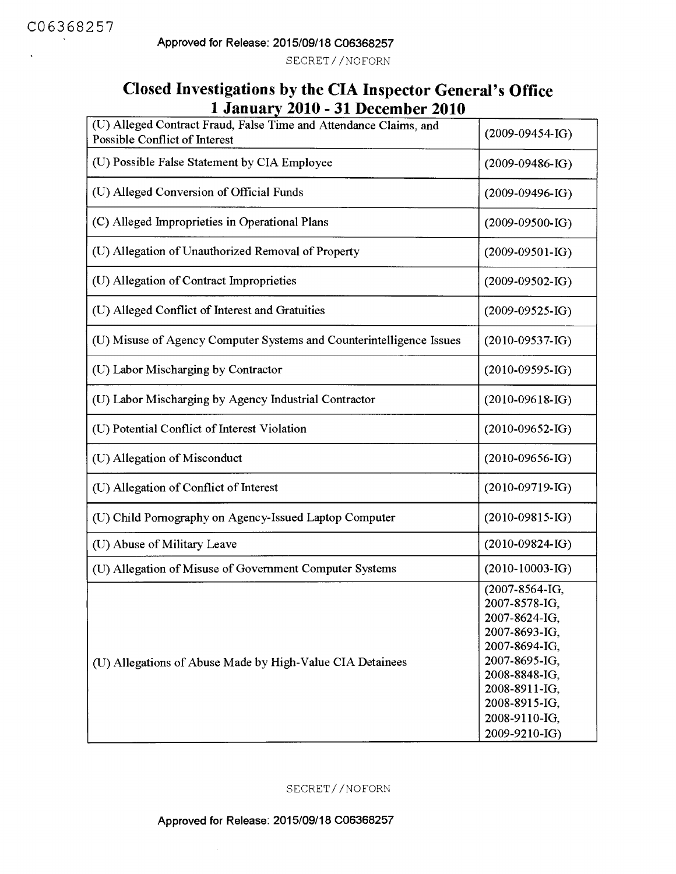SECRET//NOFORN

### **Closed Investigations by the CIA Inspector General's Office 1 January 2010 - 31 December 2010**

| (U) Alleged Contract Fraud, False Time and Attendance Claims, and<br>Possible Conflict of Interest | $(2009-09454-IG)$                                                                                                                                                                        |
|----------------------------------------------------------------------------------------------------|------------------------------------------------------------------------------------------------------------------------------------------------------------------------------------------|
| (U) Possible False Statement by CIA Employee                                                       | $(2009-09486-IG)$                                                                                                                                                                        |
| (U) Alleged Conversion of Official Funds                                                           | $(2009-09496-IG)$                                                                                                                                                                        |
| (C) Alleged Improprieties in Operational Plans                                                     | $(2009-09500-IG)$                                                                                                                                                                        |
| (U) Allegation of Unauthorized Removal of Property                                                 | $(2009-09501-IG)$                                                                                                                                                                        |
| (U) Allegation of Contract Improprieties                                                           | $(2009-09502-IG)$                                                                                                                                                                        |
| (U) Alleged Conflict of Interest and Gratuities                                                    | $(2009-09525-IG)$                                                                                                                                                                        |
| (U) Misuse of Agency Computer Systems and Counterintelligence Issues                               | $(2010-09537-IG)$                                                                                                                                                                        |
| (U) Labor Mischarging by Contractor                                                                | $(2010 - 09595 - IG)$                                                                                                                                                                    |
| (U) Labor Mischarging by Agency Industrial Contractor                                              | $(2010-09618-IG)$                                                                                                                                                                        |
| (U) Potential Conflict of Interest Violation                                                       | $(2010-09652-IG)$                                                                                                                                                                        |
| (U) Allegation of Misconduct                                                                       | $(2010-09656-IG)$                                                                                                                                                                        |
| (U) Allegation of Conflict of Interest                                                             | $(2010 - 09719 - IG)$                                                                                                                                                                    |
| (U) Child Pornography on Agency-Issued Laptop Computer                                             | $(2010-09815-IG)$                                                                                                                                                                        |
| (U) Abuse of Military Leave                                                                        | $(2010-09824-IG)$                                                                                                                                                                        |
| (U) Allegation of Misuse of Government Computer Systems                                            | $(2010-10003-IG)$                                                                                                                                                                        |
| (U) Allegations of Abuse Made by High-Value CIA Detainees                                          | (2007-8564-IG,<br>2007-8578-IG,<br>2007-8624-IG,<br>2007-8693-IG,<br>2007-8694-IG,<br>2007-8695-IG.<br>2008-8848-IG,<br>2008-8911-IG,<br>2008-8915-IG,<br>2008-9110-IG,<br>2009-9210-IG) |

SECRET//NOFORN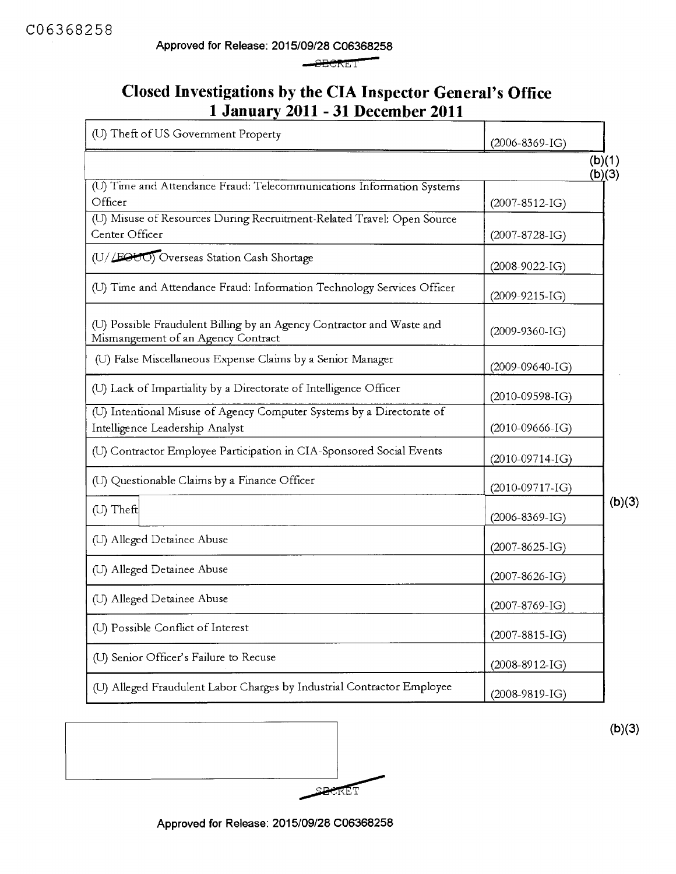$-$ SHC $RET$ 

## **Closed Investigations by the CIA Inspector General's Office 1 January 2011 - 31 December 2011**

| (U) Theft of US Government Property                                                                         | $(2006 - 8369 - IG)$ |                  |
|-------------------------------------------------------------------------------------------------------------|----------------------|------------------|
|                                                                                                             |                      | (b)(1)<br>(b)(3) |
| (U) Time and Attendance Fraud: Telecommunications Information Systems<br>Officer                            | $(2007 - 8512 - I)$  |                  |
| (U) Misuse of Resources During Recruitment-Related Travel: Open Source<br>Center Officer                    | $(2007 - 8728 - IG)$ |                  |
| (U//EOUO) Overseas Station Cash Shortage                                                                    | $(2008-9022-I)$      |                  |
| (U) Time and Attendance Fraud: Information Technology Services Officer                                      | $(2009-9215-IG)$     |                  |
| (U) Possible Fraudulent Billing by an Agency Contractor and Waste and<br>Mismangement of an Agency Contract | $(2009-9360-IG)$     |                  |
| (U) False Miscellaneous Expense Claims by a Senior Manager                                                  | $(2009-09640-IG)$    |                  |
| (U) Lack of Impartiality by a Directorate of Intelligence Officer                                           | $(2010-09598-IG)$    |                  |
| (U) Intentional Misuse of Agency Computer Systems by a Directorate of<br>Intelligence Leadership Analyst    | $(2010-09666-IG)$    |                  |
| (U) Contractor Employee Participation in CIA-Sponsored Social Events                                        | $(2010-09714-I)$     |                  |
| (U) Questionable Claims by a Finance Officer                                                                | $(2010-09717-IG)$    |                  |
| (U) Theft                                                                                                   | $(2006 - 8369 - IG)$ | (b)(3)           |
| (U) Alleged Detainee Abuse                                                                                  | $(2007 - 8625 - IG)$ |                  |
| (U) Alleged Detainee Abuse                                                                                  | $(2007 - 8626 - IG)$ |                  |
| (U) Alleged Detainee Abuse                                                                                  | $(2007 - 8769 - IG)$ |                  |
| (U) Possible Conflict of Interest                                                                           | $(2007 - 8815 - IG)$ |                  |
| (U) Senior Officer's Failure to Recuse                                                                      | $(2008-8912-IG)$     |                  |
| (U) Alleged Fraudulent Labor Charges by Industrial Contractor Employee                                      | $(2008-9819-IG)$     |                  |



**(b)(3)** 

**Approved for Release: 2015/09/28 C06368258**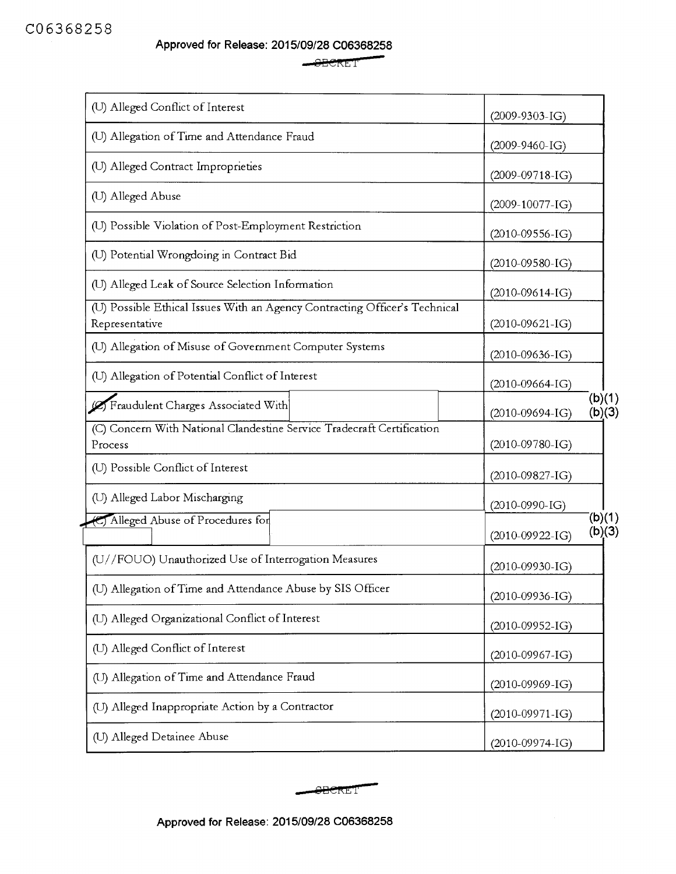**Approved for Release: 2015/09/28 C06368258 09/28 C06368258**<br><del>- SEC</del>RET

| (U) Alleged Conflict of Interest                                                             | $(2009-9303-IG)$                       |
|----------------------------------------------------------------------------------------------|----------------------------------------|
| (U) Allegation of Time and Attendance Fraud                                                  |                                        |
| (U) Alleged Contract Improprieties                                                           | $(2009-9460-IG)$                       |
| (U) Alleged Abuse                                                                            | $(2009-09718-IG)$                      |
| (U) Possible Violation of Post-Employment Restriction                                        | $(2009-10077-IG)$<br>$(2010-09556-IG)$ |
| (U) Potential Wrongdoing in Contract Bid                                                     | $(2010-09580-IG)$                      |
| (U) Alleged Leak of Source Selection Information                                             | $(2010-09614-IG)$                      |
| (U) Possible Ethical Issues With an Agency Contracting Officer's Technical<br>Representative | $(2010-09621-IG)$                      |
| (U) Allegation of Misuse of Government Computer Systems                                      | $(2010-09636-IG)$                      |
| (U) Allegation of Potential Conflict of Interest                                             | $(2010-09664-IG)$                      |
| (2) Fraudulent Charges Associated With                                                       | (b)(1)<br>(b)(3)<br>$(2010-09694-IG)$  |
| (C) Concern With National Clandestine Service Tradecraft Certification<br>Process            | $(2010-09780-IG)$                      |
| (U) Possible Conflict of Interest                                                            | $(2010-09827-IG)$                      |
| (U) Alleged Labor Mischarging                                                                | $(2010-0990-IG)$                       |
| C Alleged Abuse of Procedures for                                                            | (b)(1)<br>(b)(3)<br>$(2010-09922-IG)$  |
| (U//FOUO) Unauthorized Use of Interrogation Measures                                         | $(2010-09930-IG)$                      |
| (U) Allegation of Time and Attendance Abuse by SIS Officer                                   | $(2010-09936-IG)$                      |
| (U) Alleged Organizational Conflict of Interest                                              | $(2010-09952-IG)$                      |
| (U) Alleged Conflict of Interest                                                             | $(2010 - 09967 - IG)$                  |
| (U) Allegation of Time and Attendance Fraud                                                  | $(2010-09969-IG)$                      |
| (U) Alleged Inappropriate Action by a Contractor                                             | $(2010-09971-IG)$                      |
| (U) Alleged Detainee Abuse                                                                   | $(2010-09974-IG)$                      |

 $-BERET$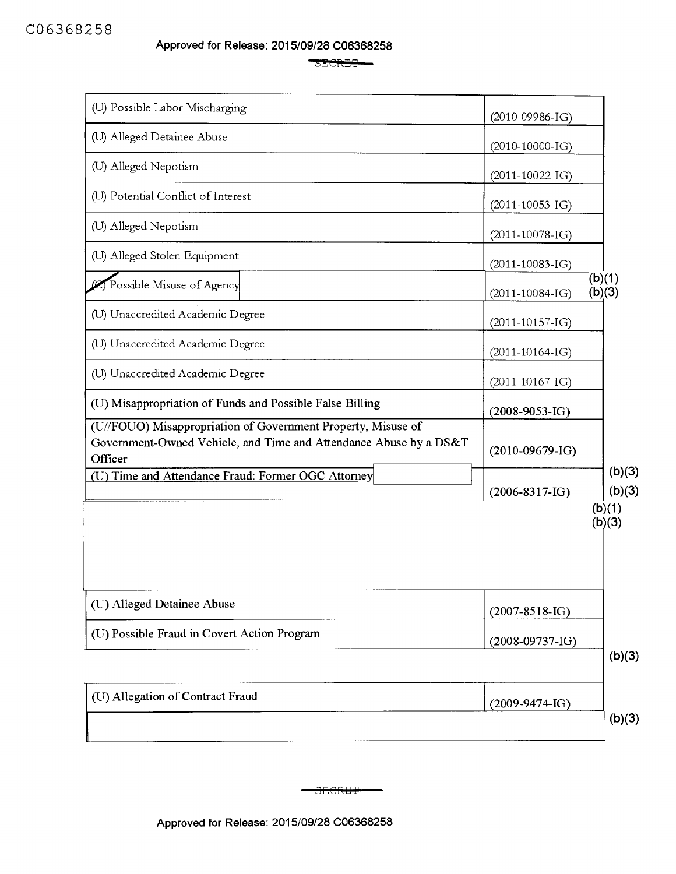SECRET-

| (U) Possible Labor Mischarging                                                                                                               | $(2010-09986-IG)$     |                  |
|----------------------------------------------------------------------------------------------------------------------------------------------|-----------------------|------------------|
| (U) Alleged Detainee Abuse                                                                                                                   | $(2010-10000-IG)$     |                  |
| (U) Alleged Nepotism                                                                                                                         | $(2011 - 10022 - IG)$ |                  |
| (U) Potential Conflict of Interest                                                                                                           | $(2011 - 10053 - IG)$ |                  |
| (U) Alleged Nepotism                                                                                                                         | $(2011-10078-I)$      |                  |
| (U) Alleged Stolen Equipment                                                                                                                 | $(2011 - 10083 - IG)$ |                  |
| Possible Misuse of Agency                                                                                                                    | $(2011 - 10084 - IG)$ | (b)(1)<br>(b)(3) |
| (U) Unaccredited Academic Degree                                                                                                             | $(2011-10157-IG)$     |                  |
| (U) Unaccredited Academic Degree                                                                                                             | $(2011-10164-IG)$     |                  |
| (U) Unaccredited Academic Degree                                                                                                             | $(2011-10167-IG)$     |                  |
| (U) Misappropriation of Funds and Possible False Billing                                                                                     | $(2008-9053-IG)$      |                  |
| (U//FOUO) Misappropriation of Government Property, Misuse of<br>Government-Owned Vehicle, and Time and Attendance Abuse by a DS&T<br>Officer | $(2010-09679-IG)$     |                  |
| (U) Time and Attendance Fraud: Former OGC Attorney                                                                                           | $(2006 - 8317 - IG)$  | (b)(3)<br>(b)(3) |
|                                                                                                                                              |                       | (b)(1)<br>(b)(3) |
| (U) Alleged Detainee Abuse                                                                                                                   | $(2007 - 8518 - IG)$  |                  |
| (U) Possible Fraud in Covert Action Program                                                                                                  | $(2008-09737-IG)$     |                  |
|                                                                                                                                              |                       | (b)(3)           |
| (U) Allegation of Contract Fraud                                                                                                             | $(2009-9474$ IG)      |                  |
|                                                                                                                                              |                       | (b)(3)           |

**CHORET**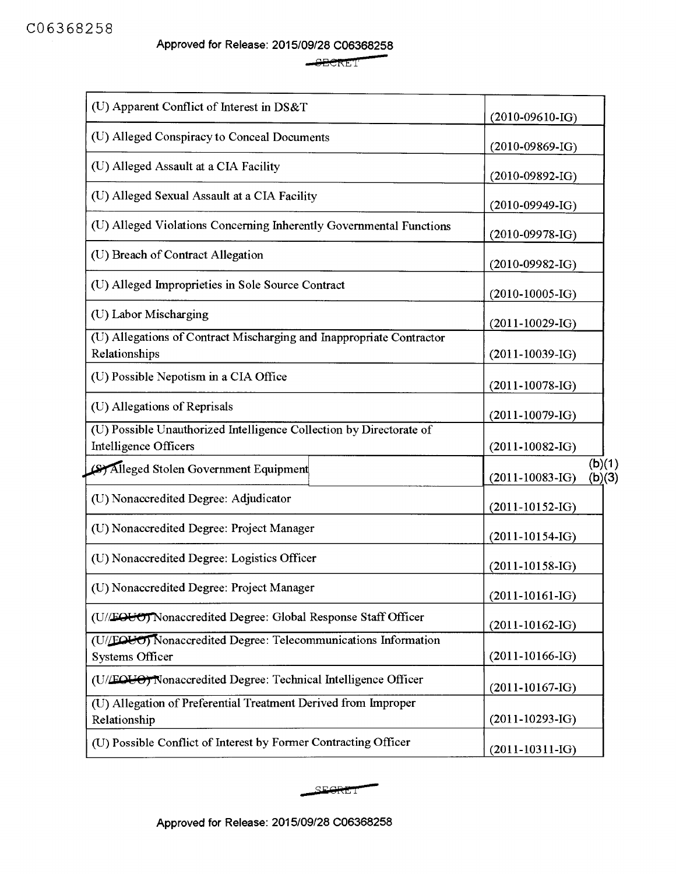Approved for Release: 2015/09/28 C06368258 -

 $-$ SECRET

| (U) Apparent Conflict of Interest in DS&T                                                           | $(2010-09610-I)$                       |                  |
|-----------------------------------------------------------------------------------------------------|----------------------------------------|------------------|
| (U) Alleged Conspiracy to Conceal Documents                                                         |                                        |                  |
| (U) Alleged Assault at a CIA Facility                                                               | $(2010 - 09869 - IG)$                  |                  |
| (U) Alleged Sexual Assault at a CIA Facility                                                        | $(2010-09892-IG)$<br>$(2010-09949-IG)$ |                  |
| (U) Alleged Violations Concerning Inherently Governmental Functions                                 | $(2010-09978-IG)$                      |                  |
| (U) Breach of Contract Allegation                                                                   | $(2010-09982-IG)$                      |                  |
| (U) Alleged Improprieties in Sole Source Contract                                                   | $(2010-10005-IG)$                      |                  |
| (U) Labor Mischarging                                                                               | $(2011-10029-IG)$                      |                  |
| (U) Allegations of Contract Mischarging and Inappropriate Contractor<br>Relationships               | $(2011-10039-IG)$                      |                  |
| (U) Possible Nepotism in a CIA Office                                                               | $(2011 - 10078 - I)$                   |                  |
| (U) Allegations of Reprisals                                                                        | $(2011-10079-IG)$                      |                  |
| (U) Possible Unauthorized Intelligence Collection by Directorate of<br><b>Intelligence Officers</b> | $(2011-10082-IG)$                      |                  |
| (S) Alleged Stolen Government Equipment                                                             | $(2011-10083-IG)$                      | (b)(1)<br>(b)(3) |
| (U) Nonaccredited Degree: Adjudicator                                                               | $(2011-10152-IG)$                      |                  |
| (U) Nonaccredited Degree: Project Manager                                                           | $(2011-10154-IG)$                      |                  |
| (U) Nonaccredited Degree: Logistics Officer                                                         | $(2011-10158-IG)$                      |                  |
| (U) Nonaccredited Degree: Project Manager                                                           | $(2011-10161-IG)$                      |                  |
| (U//EOUO) Nonaccredited Degree: Global Response Staff Officer                                       | $(2011-10162-IG)$                      |                  |
| (U/EQUO) Nonaccredited Degree: Telecommunications Information<br><b>Systems Officer</b>             | $(2011-10166-IG)$                      |                  |
| (U/EQUO) Nonaccredited Degree: Technical Intelligence Officer                                       | $(2011-10167-IG)$                      |                  |
| (U) Allegation of Preferential Treatment Derived from Improper<br>Relationship                      | $(2011-10293-IG)$                      |                  |
| (U) Possible Conflict of Interest by Former Contracting Officer                                     | $(2011-10311-IG)$                      |                  |

SEGRET